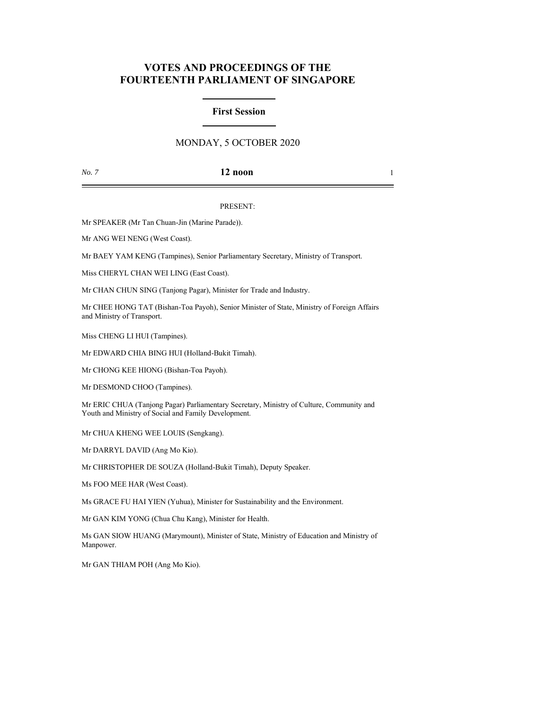# **VOTES AND PROCEEDINGS OF THE FOURTEENTH PARLIAMENT OF SINGAPORE**

# **First Session**

# MONDAY, 5 OCTOBER 2020

## *No. 7* **12 noon** 1

### PRESENT:

Mr SPEAKER (Mr Tan Chuan-Jin (Marine Parade)).

Mr ANG WEI NENG (West Coast).

Mr BAEY YAM KENG (Tampines), Senior Parliamentary Secretary, Ministry of Transport.

Miss CHERYL CHAN WEI LING (East Coast).

Mr CHAN CHUN SING (Tanjong Pagar), Minister for Trade and Industry.

Mr CHEE HONG TAT (Bishan-Toa Payoh), Senior Minister of State, Ministry of Foreign Affairs and Ministry of Transport.

Miss CHENG LI HUI (Tampines).

Mr EDWARD CHIA BING HUI (Holland-Bukit Timah).

Mr CHONG KEE HIONG (Bishan-Toa Payoh).

Mr DESMOND CHOO (Tampines).

Mr ERIC CHUA (Tanjong Pagar) Parliamentary Secretary, Ministry of Culture, Community and Youth and Ministry of Social and Family Development.

Mr CHUA KHENG WEE LOUIS (Sengkang).

Mr DARRYL DAVID (Ang Mo Kio).

Mr CHRISTOPHER DE SOUZA (Holland-Bukit Timah), Deputy Speaker.

Ms FOO MEE HAR (West Coast).

Ms GRACE FU HAI YIEN (Yuhua), Minister for Sustainability and the Environment.

Mr GAN KIM YONG (Chua Chu Kang), Minister for Health.

Ms GAN SIOW HUANG (Marymount), Minister of State, Ministry of Education and Ministry of Manpower.

Mr GAN THIAM POH (Ang Mo Kio).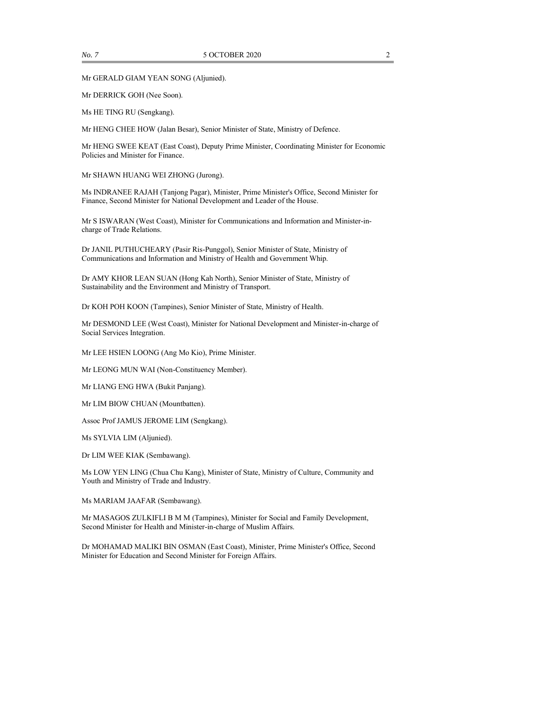Mr GERALD GIAM YEAN SONG (Aljunied).

Mr DERRICK GOH (Nee Soon).

Ms HE TING RU (Sengkang).

Mr HENG CHEE HOW (Jalan Besar), Senior Minister of State, Ministry of Defence.

Mr HENG SWEE KEAT (East Coast), Deputy Prime Minister, Coordinating Minister for Economic Policies and Minister for Finance.

Mr SHAWN HUANG WEI ZHONG (Jurong).

Ms INDRANEE RAJAH (Tanjong Pagar), Minister, Prime Minister's Office, Second Minister for Finance, Second Minister for National Development and Leader of the House.

Mr S ISWARAN (West Coast), Minister for Communications and Information and Minister-incharge of Trade Relations.

Dr JANIL PUTHUCHEARY (Pasir Ris-Punggol), Senior Minister of State, Ministry of Communications and Information and Ministry of Health and Government Whip.

Dr AMY KHOR LEAN SUAN (Hong Kah North), Senior Minister of State, Ministry of Sustainability and the Environment and Ministry of Transport.

Dr KOH POH KOON (Tampines), Senior Minister of State, Ministry of Health.

Mr DESMOND LEE (West Coast), Minister for National Development and Minister-in-charge of Social Services Integration.

Mr LEE HSIEN LOONG (Ang Mo Kio), Prime Minister.

Mr LEONG MUN WAI (Non-Constituency Member).

Mr LIANG ENG HWA (Bukit Panjang).

Mr LIM BIOW CHUAN (Mountbatten).

Assoc Prof JAMUS JEROME LIM (Sengkang).

Ms SYLVIA LIM (Aljunied).

Dr LIM WEE KIAK (Sembawang).

Ms LOW YEN LING (Chua Chu Kang), Minister of State, Ministry of Culture, Community and Youth and Ministry of Trade and Industry.

Ms MARIAM JAAFAR (Sembawang).

Mr MASAGOS ZULKIFLI B M M (Tampines), Minister for Social and Family Development, Second Minister for Health and Minister-in-charge of Muslim Affairs.

Dr MOHAMAD MALIKI BIN OSMAN (East Coast), Minister, Prime Minister's Office, Second Minister for Education and Second Minister for Foreign Affairs.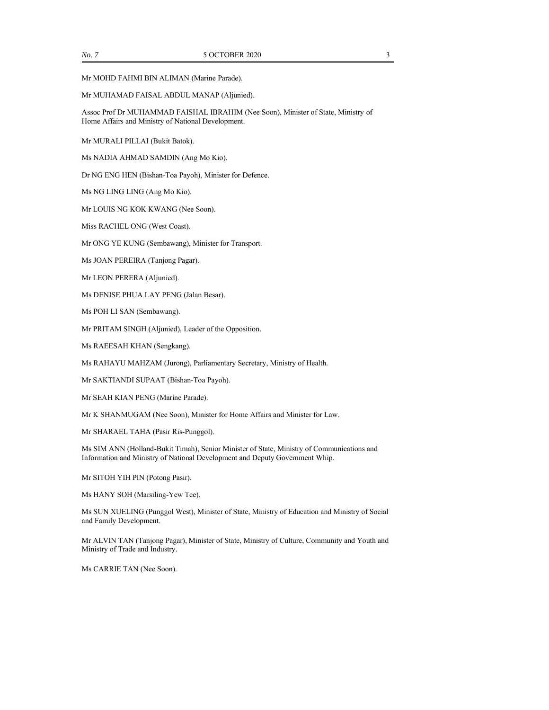Mr MOHD FAHMI BIN ALIMAN (Marine Parade).

#### Mr MUHAMAD FAISAL ABDUL MANAP (Aljunied).

Assoc Prof Dr MUHAMMAD FAISHAL IBRAHIM (Nee Soon), Minister of State, Ministry of Home Affairs and Ministry of National Development.

Mr MURALI PILLAI (Bukit Batok).

Ms NADIA AHMAD SAMDIN (Ang Mo Kio).

Dr NG ENG HEN (Bishan-Toa Payoh), Minister for Defence.

Ms NG LING LING (Ang Mo Kio).

Mr LOUIS NG KOK KWANG (Nee Soon).

Miss RACHEL ONG (West Coast).

Mr ONG YE KUNG (Sembawang), Minister for Transport.

Ms JOAN PEREIRA (Tanjong Pagar).

Mr LEON PERERA (Aljunied).

Ms DENISE PHUA LAY PENG (Jalan Besar).

Ms POH LI SAN (Sembawang).

Mr PRITAM SINGH (Aljunied), Leader of the Opposition.

Ms RAEESAH KHAN (Sengkang).

Ms RAHAYU MAHZAM (Jurong), Parliamentary Secretary, Ministry of Health.

Mr SAKTIANDI SUPAAT (Bishan-Toa Payoh).

Mr SEAH KIAN PENG (Marine Parade).

Mr K SHANMUGAM (Nee Soon), Minister for Home Affairs and Minister for Law.

Mr SHARAEL TAHA (Pasir Ris-Punggol).

Ms SIM ANN (Holland-Bukit Timah), Senior Minister of State, Ministry of Communications and Information and Ministry of National Development and Deputy Government Whip.

Mr SITOH YIH PIN (Potong Pasir).

Ms HANY SOH (Marsiling-Yew Tee).

Ms SUN XUELING (Punggol West), Minister of State, Ministry of Education and Ministry of Social and Family Development.

Mr ALVIN TAN (Tanjong Pagar), Minister of State, Ministry of Culture, Community and Youth and Ministry of Trade and Industry.

Ms CARRIE TAN (Nee Soon).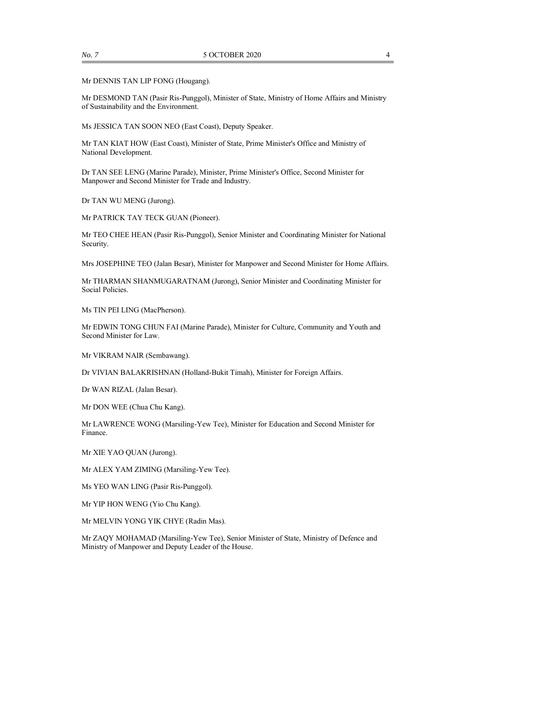Mr DENNIS TAN LIP FONG (Hougang).

Mr DESMOND TAN (Pasir Ris-Punggol), Minister of State, Ministry of Home Affairs and Ministry of Sustainability and the Environment.

Ms JESSICA TAN SOON NEO (East Coast), Deputy Speaker.

Mr TAN KIAT HOW (East Coast), Minister of State, Prime Minister's Office and Ministry of National Development.

Dr TAN SEE LENG (Marine Parade), Minister, Prime Minister's Office, Second Minister for Manpower and Second Minister for Trade and Industry.

Dr TAN WU MENG (Jurong).

Mr PATRICK TAY TECK GUAN (Pioneer).

Mr TEO CHEE HEAN (Pasir Ris-Punggol), Senior Minister and Coordinating Minister for National Security.

Mrs JOSEPHINE TEO (Jalan Besar), Minister for Manpower and Second Minister for Home Affairs.

Mr THARMAN SHANMUGARATNAM (Jurong), Senior Minister and Coordinating Minister for Social Policies.

Ms TIN PEI LING (MacPherson).

Mr EDWIN TONG CHUN FAI (Marine Parade), Minister for Culture, Community and Youth and Second Minister for Law.

Mr VIKRAM NAIR (Sembawang).

Dr VIVIAN BALAKRISHNAN (Holland-Bukit Timah), Minister for Foreign Affairs.

Dr WAN RIZAL (Jalan Besar).

Mr DON WEE (Chua Chu Kang).

Mr LAWRENCE WONG (Marsiling-Yew Tee), Minister for Education and Second Minister for Finance.

Mr XIE YAO QUAN (Jurong).

Mr ALEX YAM ZIMING (Marsiling-Yew Tee).

Ms YEO WAN LING (Pasir Ris-Punggol).

Mr YIP HON WENG (Yio Chu Kang).

Mr MELVIN YONG YIK CHYE (Radin Mas).

Mr ZAQY MOHAMAD (Marsiling-Yew Tee), Senior Minister of State, Ministry of Defence and Ministry of Manpower and Deputy Leader of the House.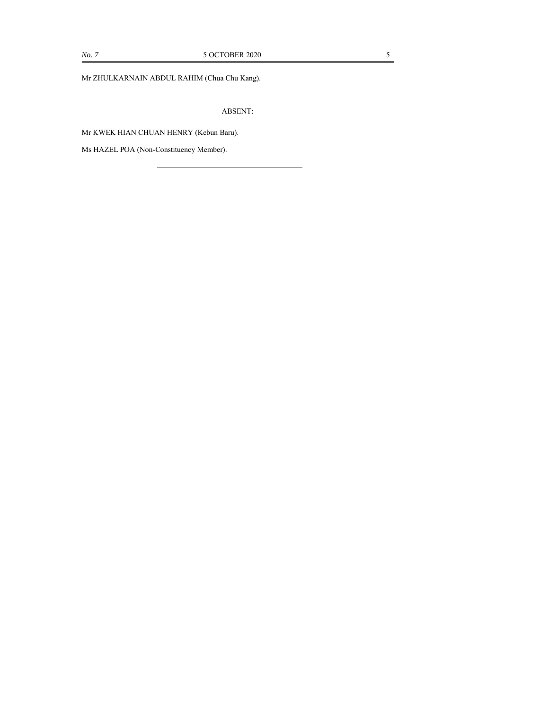Mr ZHULKARNAIN ABDUL RAHIM (Chua Chu Kang).

ABSENT:

Mr KWEK HIAN CHUAN HENRY (Kebun Baru).

Ms HAZEL POA (Non-Constituency Member).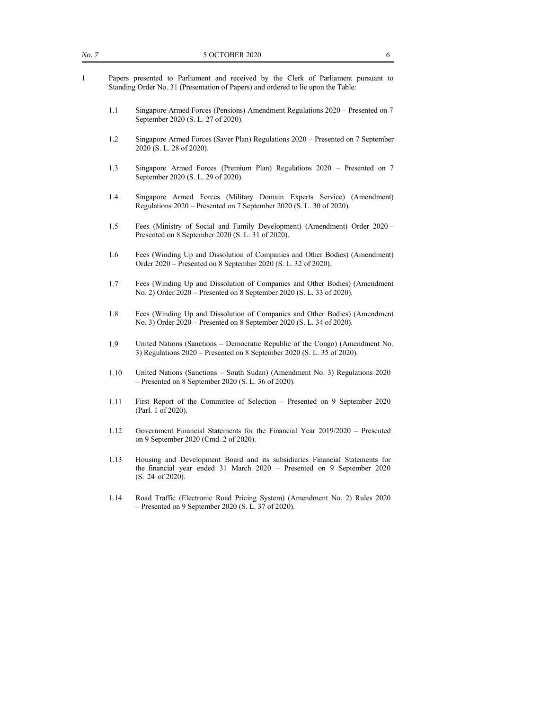- 1 Papers presented to Parliament and received by the Clerk of Parliament pursuant to Standing Order No. 31 (Presentation of Papers) and ordered to lie upon the Table:
	- 1.1 Singapore Armed Forces (Pensions) Amendment Regulations 2020 Presented on 7 September 2020 (S. L. 27 of 2020).
	- 1.2 Singapore Armed Forces (Saver Plan) Regulations 2020 Presented on 7 September 2020 (S. L. 28 of 2020).
	- 1.3 Singapore Armed Forces (Premium Plan) Regulations 2020 Presented on 7 September 2020 (S. L. 29 of 2020).
	- 1.4 Singapore Armed Forces (Military Domain Experts Service) (Amendment) Regulations 2020 – Presented on 7 September 2020 (S. L. 30 of 2020).
	- 1.5 Fees (Ministry of Social and Family Development) (Amendment) Order 2020 Presented on 8 September 2020 (S. L. 31 of 2020).
	- 1.6 Fees (Winding Up and Dissolution of Companies and Other Bodies) (Amendment) Order 2020 – Presented on 8 September 2020 (S. L. 32 of 2020).
	- 1.7 Fees (Winding Up and Dissolution of Companies and Other Bodies) (Amendment No. 2) Order 2020 – Presented on 8 September 2020 (S. L. 33 of 2020).
	- 1.8 Fees (Winding Up and Dissolution of Companies and Other Bodies) (Amendment No. 3) Order 2020 – Presented on 8 September 2020 (S. L. 34 of 2020).
	- 1.9 United Nations (Sanctions Democratic Republic of the Congo) (Amendment No. 3) Regulations 2020 – Presented on 8 September 2020 (S. L. 35 of 2020).
	- 1.10 United Nations (Sanctions South Sudan) (Amendment No. 3) Regulations 2020 – Presented on 8 September 2020 (S. L. 36 of 2020).
	- 1.11 First Report of the Committee of Selection Presented on 9 September 2020 (Parl. 1 of 2020).
	- 1.12 Government Financial Statements for the Financial Year 2019/2020 Presented on 9 September 2020 (Cmd. 2 of 2020).
	- 1.13 Housing and Development Board and its subsidiaries Financial Statements for the financial year ended 31 March 2020 – Presented on 9 September 2020 (S. 24 of 2020).
	- 1.14 Road Traffic (Electronic Road Pricing System) (Amendment No. 2) Rules 2020 – Presented on 9 September 2020 (S. L. 37 of 2020).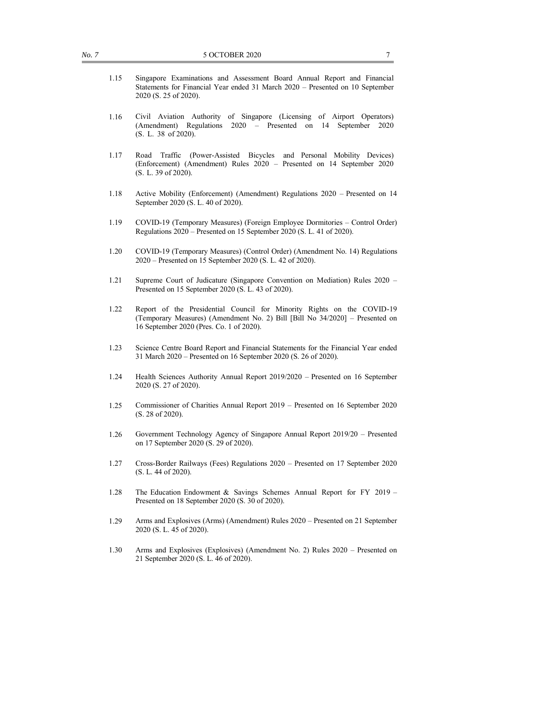- 1.15 Singapore Examinations and Assessment Board Annual Report and Financial Statements for Financial Year ended 31 March 2020 – Presented on 10 September 2020 (S. 25 of 2020).
- 1.16 Civil Aviation Authority of Singapore (Licensing of Airport Operators) (Amendment) Regulations 2020 – Presented on 14 September 2020 (S. L. 38 of 2020).
- 1.17 Road Traffic (Power-Assisted Bicycles and Personal Mobility Devices) (Enforcement) (Amendment) Rules 2020 – Presented on 14 September 2020 (S. L. 39 of 2020).
- 1.18 Active Mobility (Enforcement) (Amendment) Regulations 2020 Presented on 14 September 2020 (S. L. 40 of 2020).
- 1.19 COVID-19 (Temporary Measures) (Foreign Employee Dormitories Control Order) Regulations 2020 – Presented on 15 September 2020 (S. L. 41 of 2020).
- 1.20 COVID-19 (Temporary Measures) (Control Order) (Amendment No. 14) Regulations 2020 – Presented on 15 September 2020 (S. L. 42 of 2020).
- 1.21 Supreme Court of Judicature (Singapore Convention on Mediation) Rules 2020 Presented on 15 September 2020 (S. L. 43 of 2020).
- 1.22 Report of the Presidential Council for Minority Rights on the COVID-19 (Temporary Measures) (Amendment No. 2) Bill [Bill No 34/2020] – Presented on 16 September 2020 (Pres. Co. 1 of 2020).
- 1.23 Science Centre Board Report and Financial Statements for the Financial Year ended 31 March 2020 – Presented on 16 September 2020 (S. 26 of 2020).
- 1.24 Health Sciences Authority Annual Report 2019/2020 Presented on 16 September 2020 (S. 27 of 2020).
- 1.25 Commissioner of Charities Annual Report 2019 Presented on 16 September 2020 (S. 28 of 2020).
- 1.26 Government Technology Agency of Singapore Annual Report 2019/20 Presented on 17 September 2020 (S. 29 of 2020).
- 1.27 Cross-Border Railways (Fees) Regulations 2020 Presented on 17 September 2020 (S. L. 44 of 2020).
- 1.28 The Education Endowment & Savings Schemes Annual Report for FY 2019 Presented on 18 September 2020 (S. 30 of 2020).
- 1.29 Arms and Explosives (Arms) (Amendment) Rules 2020 Presented on 21 September 2020 (S. L. 45 of 2020).
- 1.30 Arms and Explosives (Explosives) (Amendment No. 2) Rules 2020 Presented on 21 September 2020 (S. L. 46 of 2020).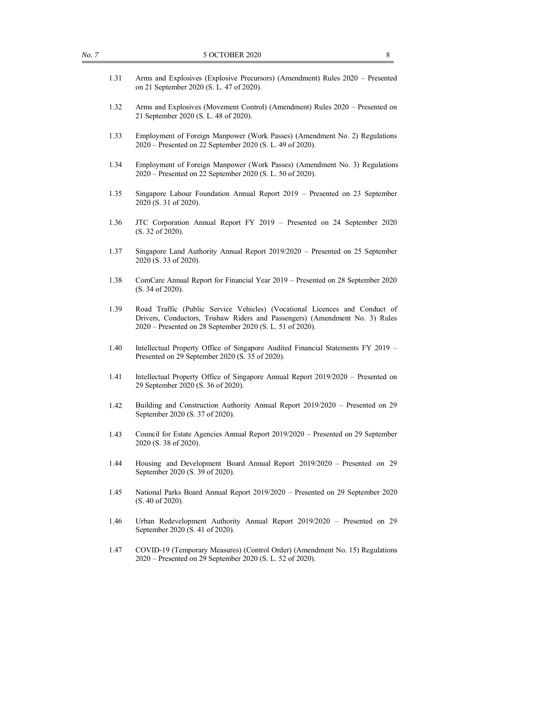| 1.31 | Arms and Explosives (Explosive Precursors) (Amendment) Rules 2020 - Presented<br>on 21 September 2020 (S. L. 47 of 2020).                                                                                              |
|------|------------------------------------------------------------------------------------------------------------------------------------------------------------------------------------------------------------------------|
| 1.32 | Arms and Explosives (Movement Control) (Amendment) Rules 2020 - Presented on<br>21 September 2020 (S. L. 48 of 2020).                                                                                                  |
| 1.33 | Employment of Foreign Manpower (Work Passes) (Amendment No. 2) Regulations<br>$2020$ – Presented on 22 September 2020 (S. L. 49 of 2020).                                                                              |
| 1.34 | Employment of Foreign Manpower (Work Passes) (Amendment No. 3) Regulations<br>2020 – Presented on 22 September 2020 (S. L. 50 of 2020).                                                                                |
| 1.35 | Singapore Labour Foundation Annual Report 2019 – Presented on 23 September<br>2020 (S. 31 of 2020).                                                                                                                    |
| 1.36 | JTC Corporation Annual Report FY 2019 - Presented on 24 September 2020<br>(S. 32 of 2020).                                                                                                                             |
| 1.37 | Singapore Land Authority Annual Report 2019/2020 – Presented on 25 September<br>2020 (S. 33 of 2020).                                                                                                                  |
| 1.38 | ComCare Annual Report for Financial Year 2019 - Presented on 28 September 2020<br>(S. 34 of 2020).                                                                                                                     |
| 1.39 | Road Traffic (Public Service Vehicles) (Vocational Licences and Conduct of<br>Drivers, Conductors, Trishaw Riders and Passengers) (Amendment No. 3) Rules<br>2020 – Presented on 28 September 2020 (S. L. 51 of 2020). |
| 1.40 | Intellectual Property Office of Singapore Audited Financial Statements FY 2019 -<br>Presented on 29 September 2020 (S. 35 of 2020).                                                                                    |
| 1.41 | Intellectual Property Office of Singapore Annual Report 2019/2020 – Presented on<br>29 September 2020 (S. 36 of 2020).                                                                                                 |
| 1.42 | Building and Construction Authority Annual Report 2019/2020 – Presented on 29<br>September 2020 (S. 37 of 2020).                                                                                                       |
| 1.43 | Council for Estate Agencies Annual Report 2019/2020 - Presented on 29 September<br>2020 (S. 38 of 2020).                                                                                                               |
| 1.44 | Housing and Development Board Annual Report 2019/2020 - Presented on 29<br>September 2020 (S. 39 of 2020).                                                                                                             |
| 1.45 | National Parks Board Annual Report 2019/2020 - Presented on 29 September 2020<br>(S. 40 of 2020).                                                                                                                      |
| 1.46 | Urban Redevelopment Authority Annual Report 2019/2020 - Presented on 29<br>September 2020 (S. 41 of 2020).                                                                                                             |
| 1.47 | COVID-19 (Temporary Measures) (Control Order) (Amendment No. 15) Regulations<br>2020 – Presented on 29 September 2020 (S. L. 52 of 2020).                                                                              |
|      |                                                                                                                                                                                                                        |
|      |                                                                                                                                                                                                                        |

*No.* 7 5 OCTOBER 2020 8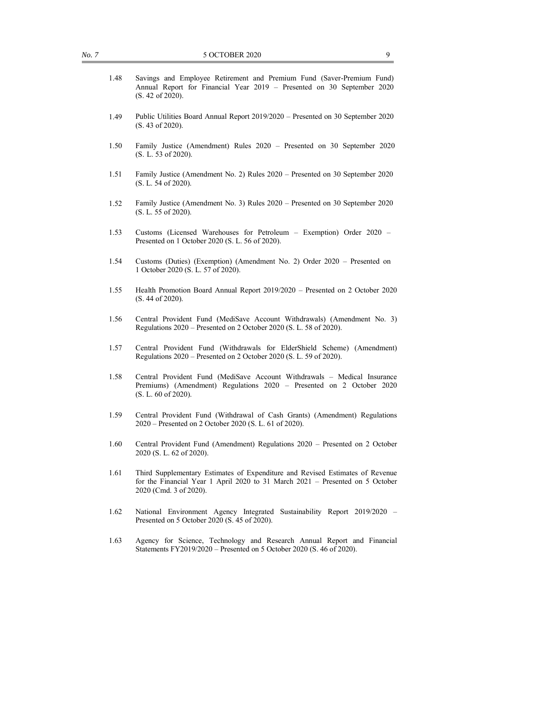- 1.48 Savings and Employee Retirement and Premium Fund (Saver-Premium Fund) Annual Report for Financial Year 2019 – Presented on 30 September 2020 (S. 42 of 2020).
- 1.49 Public Utilities Board Annual Report 2019/2020 Presented on 30 September 2020 (S. 43 of 2020).
- 1.50 Family Justice (Amendment) Rules 2020 Presented on 30 September 2020 (S. L. 53 of 2020).
- 1.51 Family Justice (Amendment No. 2) Rules 2020 Presented on 30 September 2020 (S. L. 54 of 2020).
- 1.52 Family Justice (Amendment No. 3) Rules 2020 Presented on 30 September 2020 (S. L. 55 of 2020).
- 1.53 Customs (Licensed Warehouses for Petroleum Exemption) Order 2020 Presented on 1 October 2020 (S. L. 56 of 2020).
- 1.54 Customs (Duties) (Exemption) (Amendment No. 2) Order 2020 Presented on 1 October 2020 (S. L. 57 of 2020).
- 1.55 Health Promotion Board Annual Report 2019/2020 Presented on 2 October 2020 (S. 44 of 2020).
- 1.56 Central Provident Fund (MediSave Account Withdrawals) (Amendment No. 3) Regulations 2020 – Presented on 2 October 2020 (S. L. 58 of 2020).
- 1.57 Central Provident Fund (Withdrawals for ElderShield Scheme) (Amendment) Regulations 2020 – Presented on 2 October 2020 (S. L. 59 of 2020).
- 1.58 Central Provident Fund (MediSave Account Withdrawals Medical Insurance Premiums) (Amendment) Regulations 2020 – Presented on 2 October 2020 (S. L. 60 of 2020).
- 1.59 Central Provident Fund (Withdrawal of Cash Grants) (Amendment) Regulations 2020 – Presented on 2 October 2020 (S. L. 61 of 2020).
- 1.60 Central Provident Fund (Amendment) Regulations 2020 Presented on 2 October 2020 (S. L. 62 of 2020).
- 1.61 Third Supplementary Estimates of Expenditure and Revised Estimates of Revenue for the Financial Year 1 April 2020 to 31 March 2021 – Presented on 5 October 2020 (Cmd. 3 of 2020).
- 1.62 National Environment Agency Integrated Sustainability Report 2019/2020 Presented on 5 October 2020 (S. 45 of 2020).
- 1.63 Agency for Science, Technology and Research Annual Report and Financial Statements FY2019/2020 – Presented on 5 October 2020 (S. 46 of 2020).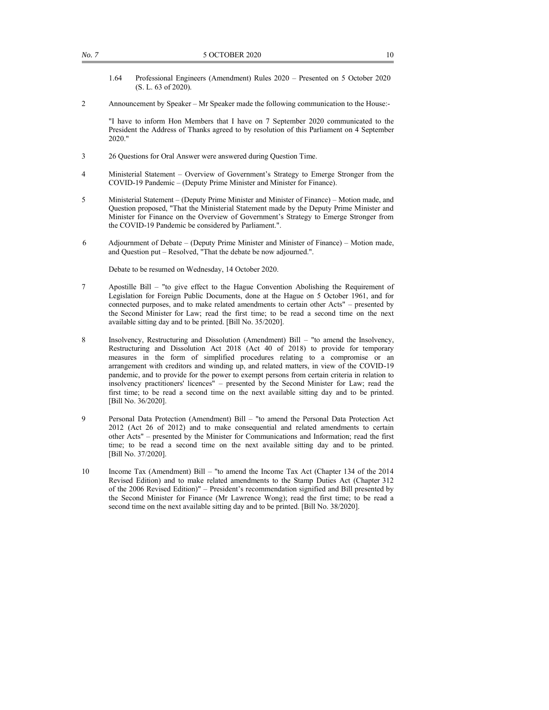- 1.64 Professional Engineers (Amendment) Rules 2020 Presented on 5 October 2020 (S. L. 63 of 2020).
- 2 Announcement by Speaker Mr Speaker made the following communication to the House:-

 "I have to inform Hon Members that I have on 7 September 2020 communicated to the President the Address of Thanks agreed to by resolution of this Parliament on 4 September 2020."

- 3 26 Questions for Oral Answer were answered during Question Time.
- 4 Ministerial Statement Overview of Government's Strategy to Emerge Stronger from the COVID-19 Pandemic – (Deputy Prime Minister and Minister for Finance).
- 5 Ministerial Statement (Deputy Prime Minister and Minister of Finance) Motion made, and Question proposed, "That the Ministerial Statement made by the Deputy Prime Minister and Minister for Finance on the Overview of Government's Strategy to Emerge Stronger from the COVID-19 Pandemic be considered by Parliament.".
- 6 Adjournment of Debate (Deputy Prime Minister and Minister of Finance) Motion made, and Question put – Resolved, "That the debate be now adjourned.".

Debate to be resumed on Wednesday, 14 October 2020.

- 7 Apostille Bill "to give effect to the Hague Convention Abolishing the Requirement of Legislation for Foreign Public Documents, done at the Hague on 5 October 1961, and for connected purposes, and to make related amendments to certain other Acts" – presented by the Second Minister for Law; read the first time; to be read a second time on the next available sitting day and to be printed. [Bill No. 35/2020].
- 8 Insolvency, Restructuring and Dissolution (Amendment) Bill "to amend the Insolvency, Restructuring and Dissolution Act 2018 (Act 40 of 2018) to provide for temporary measures in the form of simplified procedures relating to a compromise or an arrangement with creditors and winding up, and related matters, in view of the COVID-19 pandemic, and to provide for the power to exempt persons from certain criteria in relation to insolvency practitioners' licences" – presented by the Second Minister for Law; read the first time; to be read a second time on the next available sitting day and to be printed. [Bill No. 36/2020].
- 9 Personal Data Protection (Amendment) Bill "to amend the Personal Data Protection Act 2012 (Act 26 of 2012) and to make consequential and related amendments to certain other Acts" – presented by the Minister for Communications and Information; read the first time; to be read a second time on the next available sitting day and to be printed. [Bill No. 37/2020].
- 10 Income Tax (Amendment) Bill "to amend the Income Tax Act (Chapter 134 of the 2014 Revised Edition) and to make related amendments to the Stamp Duties Act (Chapter 312 of the 2006 Revised Edition)" – President's recommendation signified and Bill presented by the Second Minister for Finance (Mr Lawrence Wong); read the first time; to be read a second time on the next available sitting day and to be printed. [Bill No. 38/2020].